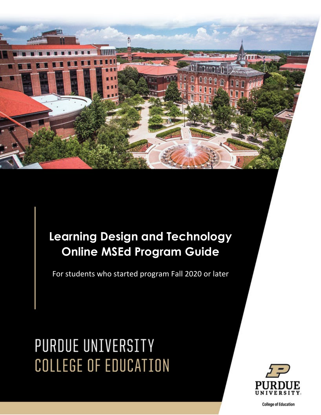

# **Learning Design and Technology Online MSEd Program Guide**

For students who started program Fall 2020 or later

# PURDUE UNIVERSITY **COLLEGE OF EDUCATION**



**College of Education**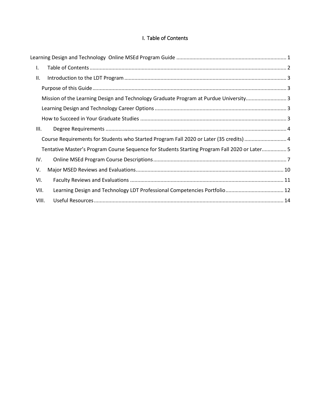# I. Table of Contents

<span id="page-1-0"></span>

| Τ.    |                                                                                               |  |
|-------|-----------------------------------------------------------------------------------------------|--|
| II.   |                                                                                               |  |
|       |                                                                                               |  |
|       | Mission of the Learning Design and Technology Graduate Program at Purdue University3          |  |
|       |                                                                                               |  |
|       |                                                                                               |  |
| III.  |                                                                                               |  |
|       | Course Requirements for Students who Started Program Fall 2020 or Later (35 credits)  4       |  |
|       | Tentative Master's Program Course Sequence for Students Starting Program Fall 2020 or Later 5 |  |
| IV.   |                                                                                               |  |
| V.    |                                                                                               |  |
| VI.   |                                                                                               |  |
| VII.  |                                                                                               |  |
| VIII. |                                                                                               |  |
|       |                                                                                               |  |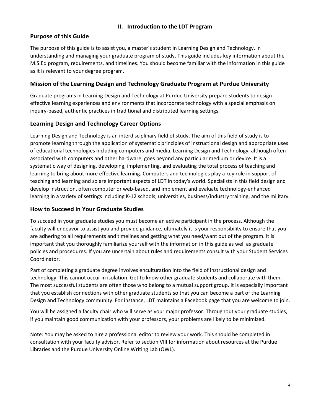# **II. Introduction to the LDT Program**

# <span id="page-2-1"></span><span id="page-2-0"></span>**Purpose of this Guide**

The purpose of this guide is to assist you, a master's student in Learning Design and Technology, in understanding and managing your graduate program of study. This guide includes key information about the M.S.Ed program, requirements, and timelines. You should become familiar with the information in this guide as it is relevant to your degree program.

# <span id="page-2-2"></span>**Mission of the Learning Design and Technology Graduate Program at Purdue University**

Graduate programs in Learning Design and Technology at Purdue University prepare students to design effective learning experiences and environments that incorporate technology with a special emphasis on inquiry-based, authentic practices in traditional and distributed learning settings.

# <span id="page-2-3"></span>**Learning Design and Technology Career Options**

Learning Design and Technology is an interdisciplinary field of study. The aim of this field of study is to promote learning through the application of systematic principles of instructional design and appropriate uses of educational technologies including computers and media. Learning Design and Technology, although often associated with computers and other hardware, goes beyond any particular medium or device. It is a systematic way of designing, developing, implementing, and evaluating the total process of teaching and learning to bring about more effective learning. Computers and technologies play a key role in support of teaching and learning and so are important aspects of LDT in today's world. Specialists in this field design and develop instruction, often computer or web-based, and implement and evaluate technology-enhanced learning in a variety of settings including K-12 schools, universities, business/industry training, and the military.

# <span id="page-2-4"></span>**How to Succeed in Your Graduate Studies**

To succeed in your graduate studies you must become an active participant in the process. Although the faculty will endeavor to assist you and provide guidance, ultimately it is your responsibility to ensure that you are adhering to all requirements and timelines and getting what you need/want out of the program. It is important that you thoroughly familiarize yourself with the information in this guide as well as graduate policies and procedures. If you are uncertain about rules and requirements consult with your Student Services Coordinator.

Part of completing a graduate degree involves enculturation into the field of instructional design and technology. This cannot occur in isolation. Get to know other graduate students and collaborate with them. The most successful students are often those who belong to a mutual support group. It is especially important that you establish connections with other graduate students so that you can become a part of the Learning Design and Technology community. For instance, LDT maintains a Facebook page that you are welcome to join.

You will be assigned a faculty chair who will serve as your major professor. Throughout your graduate studies, if you maintain good communication with your professors, your problems are likely to be minimized.

Note: You may be asked to hire a professional editor to review your work. This should be completed in consultation with your faculty advisor. Refer to section VIII for information about resources at the Purdue Libraries and the Purdue University Online Writing Lab (OWL).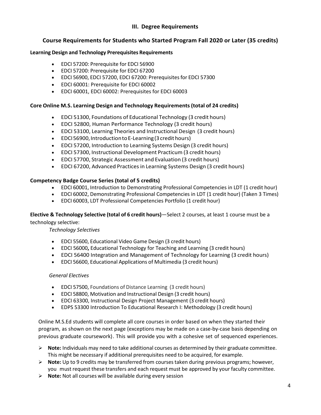# **III. Degree Requirements**

# <span id="page-3-0"></span>**Course Requirements for Students who Started Program Fall 2020 or Later (35 credits)**

# <span id="page-3-1"></span>**Learning Design and Technology Prerequisites Requirements**

- EDCI 57200: Prerequisite for EDCI 56900
- EDCI 57200: Prerequisite for EDCI 67200
- EDCI 56900, EDCI 57200, EDCI 67200: Prerequisitesfor EDCI 57300
- EDCI 60001: Prerequisite for EDCI 60002
- EDCI 60001, EDCI 60002: Prerequisites for EDCI 60003

# **Core Online M.S. Learning Design and Technology Requirements(total of 24 credits)**

- EDCI 51300, Foundations of Educational Technology (3 credit hours)
- EDCI 52800, Human Performance Technology (3 credit hours)
- EDCI 53100, Learning Theories and Instructional Design (3 credit hours)
- EDCI56900,IntroductiontoE-Learning(3credithours)
- EDCI 57200, Introduction to Learning Systems Design (3 credit hours)
- EDCI 57300, Instructional Development Practicum (3 credit hours)
- EDCI 57700, Strategic Assessment and Evaluation (3 credit hours)
- EDCI 67200, Advanced Practicesin Learning Systems Design (3 credit hours)

# **Competency Badge Course Series (total of 5 credits)**

- EDCI 60001, Introduction to Demonstrating Professional Competencies in LDT (1 credit hour)
- EDCI 60002, Demonstrating Professional Competencies in LDT (1 credit hour) (Taken 3 Times)
- EDCI 60003, LDT Professional Competencies Portfolio (1 credit hour)

# **Elective & Technology Selective (total of 6 credit hours)**—Select 2 courses, at least 1 course must be a technology selective:

# *Technology Selectives*

- EDCI 55600, Educational Video Game Design (3 credit hours)
- EDCI 56000**,** Educational Technology for Teaching and Learning (3 credit hours)
- EDCI 56400 Integration and Management of Technology for Learning (3 credit hours)
- EDCI 56600, Educational Applications of Multimedia (3 credit hours)

# *General Electives*

- EDCI 57500, Foundations of Distance Learning (3 credit hours)
- EDCI 58800, Motivation and Instructional Design (3 credit hours)
- EDCI 63300, Instructional Design Project Management (3 credit hours)
- EDPS 53300 Introduction To Educational Research I: Methodology (3 credit hours)

Online M.S.Ed students will complete all core courses in order based on when they started their program, as shown on the next page (exceptions may be made on a case-by-case basis depending on previous graduate coursework). This will provide you with a cohesive set of sequenced experiences.

- **Note:** Individuals may need to take additional courses as determined by their graduate committee. This might be necessary if additional prerequisites need to be acquired, for example.
- **Note:** Up to 9 credits may be transferred from coursestaken during previous programs; however, you must request these transfers and each request must be approved by your faculty committee.
- **Note:** Not all courses will be available during every session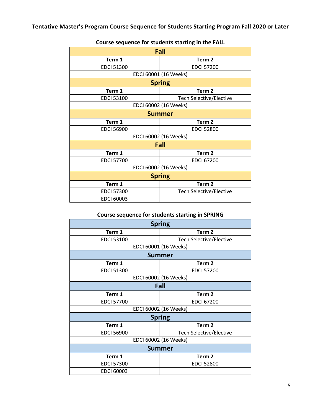<span id="page-4-0"></span>

| Fall                  |                                |  |
|-----------------------|--------------------------------|--|
| Term 1                | Term <sub>2</sub>              |  |
| <b>EDCI 51300</b>     | <b>EDCI 57200</b>              |  |
|                       | EDCI 60001 (16 Weeks)          |  |
| <b>Spring</b>         |                                |  |
| Term 1                | Term <sub>2</sub>              |  |
| <b>EDCI 53100</b>     | <b>Tech Selective/Elective</b> |  |
| EDCI 60002 (16 Weeks) |                                |  |
| <b>Summer</b>         |                                |  |
| Term 1                | Term <sub>2</sub>              |  |
| <b>EDCI 56900</b>     | <b>EDCI 52800</b>              |  |
| EDCI 60002 (16 Weeks) |                                |  |
| Fall                  |                                |  |
| Term 1                | Term <sub>2</sub>              |  |
| <b>EDCI 57700</b>     | <b>EDCI 67200</b>              |  |
| EDCI 60002 (16 Weeks) |                                |  |
| <b>Spring</b>         |                                |  |
| Term 1                | Term <sub>2</sub>              |  |
| <b>EDCI 57300</b>     | <b>Tech Selective/Elective</b> |  |
| <b>EDCI 60003</b>     |                                |  |

# **Course sequence for students starting in the FALL**

# **Course sequence for students starting in SPRING**

| <b>Spring</b>         |                                |  |  |
|-----------------------|--------------------------------|--|--|
| Term 1                | Term <sub>2</sub>              |  |  |
| <b>EDCI 53100</b>     | <b>Tech Selective/Elective</b> |  |  |
| EDCI 60001 (16 Weeks) |                                |  |  |
| <b>Summer</b>         |                                |  |  |
| Term 1                | Term <sub>2</sub>              |  |  |
| <b>EDCI 51300</b>     | <b>EDCI 57200</b>              |  |  |
| EDCI 60002 (16 Weeks) |                                |  |  |
| Fall                  |                                |  |  |
| Term 1                | Term <sub>2</sub>              |  |  |
| <b>EDCI 57700</b>     | <b>EDCI 67200</b>              |  |  |
|                       | EDCI 60002 (16 Weeks)          |  |  |
| <b>Spring</b>         |                                |  |  |
| Term 1                | Term <sub>2</sub>              |  |  |
| <b>EDCI 56900</b>     | <b>Tech Selective/Elective</b> |  |  |
| EDCI 60002 (16 Weeks) |                                |  |  |
| <b>Summer</b>         |                                |  |  |
| Term 1                | Term <sub>2</sub>              |  |  |
| <b>EDCI 57300</b>     | <b>EDCI 52800</b>              |  |  |
| <b>EDCI 60003</b>     |                                |  |  |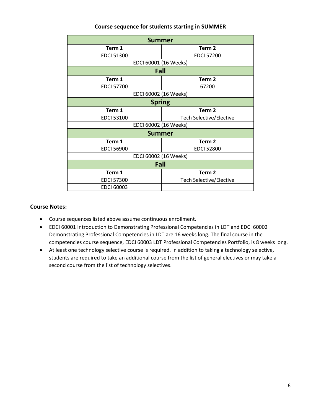# **Course sequence for students starting in SUMMER**

| <b>Summer</b>         |                                |  |  |
|-----------------------|--------------------------------|--|--|
| Term 1                | Term <sub>2</sub>              |  |  |
| <b>EDCI 51300</b>     | <b>EDCI 57200</b>              |  |  |
| EDCI 60001 (16 Weeks) |                                |  |  |
| Fall                  |                                |  |  |
| Term 1                | Term <sub>2</sub>              |  |  |
| <b>EDCI 57700</b>     | 67200                          |  |  |
| EDCI 60002 (16 Weeks) |                                |  |  |
| <b>Spring</b>         |                                |  |  |
| Term 1                | Term <sub>2</sub>              |  |  |
| <b>EDCI 53100</b>     | <b>Tech Selective/Elective</b> |  |  |
| EDCI 60002 (16 Weeks) |                                |  |  |
| <b>Summer</b>         |                                |  |  |
| Term 1                | Term <sub>2</sub>              |  |  |
| <b>EDCI 56900</b>     | <b>EDCI 52800</b>              |  |  |
| EDCI 60002 (16 Weeks) |                                |  |  |
| Fall                  |                                |  |  |
| Term 1                | Term <sub>2</sub>              |  |  |
| <b>EDCI 57300</b>     | <b>Tech Selective/Elective</b> |  |  |
| <b>EDCI 60003</b>     |                                |  |  |

# **Course Notes:**

- Course sequences listed above assume continuous enrollment.
- EDCI 60001 Introduction to Demonstrating Professional Competencies in LDT and EDCI 60002 Demonstrating Professional Competencies in LDT are 16 weeks long. The final course in the competencies course sequence, EDCI 60003 LDT Professional Competencies Portfolio, is 8 weeks long.
- At least one technology selective course is required. In addition to taking a technology selective, students are required to take an additional course from the list of general electives or may take a second course from the list of technology selectives.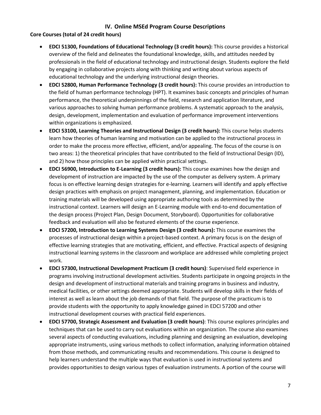# **IV. Online MSEd Program Course Descriptions**

# <span id="page-6-0"></span>**Core Courses (total of 24 credit hours)**

- **EDCI 51300, Foundations of Educational Technology (3 credit hours):** This course provides a historical overview of the field and delineates the foundational knowledge, skills, and attitudes needed by professionals in the field of educational technology and instructional design. Students explore the field by engaging in collaborative projects along with thinking and writing about various aspects of educational technology and the underlying instructional design theories.
- **EDCI 52800, Human Performance Technology (3 credit hours):** This course provides an introduction to the field of human performance technology (HPT). It examines basic concepts and principles of human performance, the theoretical underpinnings of the field, research and application literature, and various approaches to solving human performance problems. A systematic approach to the analysis, design, development, implementation and evaluation of performance improvement interventions within organizations is emphasized.
- **EDCI 53100, Learning Theories and Instructional Design (3 credit hours):** This course helps students learn how theories of human learning and motivation can be applied to the instructional process in order to make the process more effective, efficient, and/or appealing. The focus of the course is on two areas: 1) the theoretical principles that have contributed to the field of Instructional Design (ID), and 2) how those principles can be applied within practical settings.
- **EDCI 56900, Introduction to E-Learning (3 credit hours):** This course examines how the design and development of instruction are impacted by the use of the computer as delivery system. A primary focus is on effective learning design strategies for e-learning. Learners will identify and apply effective design practices with emphasis on project management, planning, and implementation. Education or training materials will be developed using appropriate authoring tools as determined by the instructional context. Learners will design an E-Learning module with end-to-end documentation of the design process (Project Plan, Design Document, Storyboard). Opportunities for collaborative feedback and evaluation will also be featured elements of the course experience.
- **EDCI 57200, Introduction to Learning Systems Design (3 credit hours):** This course examines the processes of instructional design within a project-based context. A primary focus is on the design of effective learning strategies that are motivating, efficient, and effective. Practical aspects of designing instructional learning systems in the classroom and workplace are addressed while completing project work.
- **EDCI 57300, Instructional Development Practicum (3 credit hours)**: Supervised field experience in programs involving instructional development activities. Students participate in ongoing projects in the design and development of instructional materials and training programs in business and industry, medical facilities, or other settings deemed appropriate. Students will develop skills in their fields of interest as well as learn about the job demands of that field. The purpose of the practicum is to provide students with the opportunity to apply knowledge gained in EDCI 57200 and other instructional development courses with practical field experiences.
- **EDCI 57700, Strategic Assessment and Evaluation (3 credit hours)**: This course explores principles and techniques that can be used to carry out evaluations within an organization. The course also examines several aspects of conducting evaluations, including planning and designing an evaluation, developing appropriate instruments, using various methods to collect information, analyzing information obtained from those methods, and communicating results and recommendations. This course is designed to help learners understand the multiple ways that evaluation is used in instructional systems and provides opportunities to design various types of evaluation instruments. A portion of the course will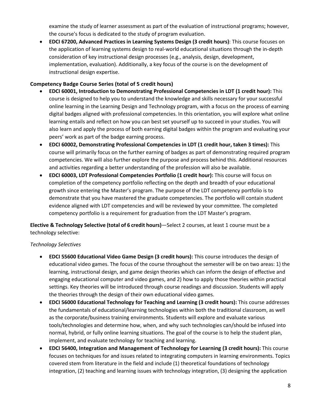examine the study of learner assessment as part of the evaluation of instructional programs; however, the course's focus is dedicated to the study of program evaluation.

• **EDCI 67200, Advanced Practices in Learning Systems Design (3 credit hours)**: This course focuses on the application of learning systems design to real-world educational situations through the in-depth consideration of key instructional design processes (e.g., analysis, design, development, implementation, evaluation). Additionally, a key focus of the course is on the development of instructional design expertise.

# **Competency Badge Course Series (total of 5 credit hours)**

- **EDCI 60001, Introduction to Demonstrating Professional Competencies in LDT (1 credit hour):** This course is designed to help you to understand the knowledge and skills necessary for your successful online learning in the Learning Design and Technology program, with a focus on the process of earning digital badges aligned with professional competencies. In this orientation, you will explore what online learning entails and reflect on how you can best set yourself up to succeed in your studies. You will also learn and apply the process of both earning digital badges within the program and evaluating your peers' work as part of the badge earning process.
- **EDCI 60002, Demonstrating Professional Competencies in LDT (1 credit hour, taken 3 times):** This course will primarily focus on the further earning of badges as part of demonstrating required program competencies. We will also further explore the purpose and process behind this. Additional resources and activities regarding a better understanding of the profession will also be available.
- **EDCI 60003, LDT Professional Competencies Portfolio (1 credit hour):** This course will focus on completion of the competency portfolio reflecting on the depth and breadth of your educational growth since entering the Master's program. The purpose of the LDT competency portfolio is to demonstrate that you have mastered the graduate competencies. The portfolio will contain student evidence aligned with LDT competencies and will be reviewed by your committee. The completed competency portfolio is a requirement for graduation from the LDT Master's program.

**Elective & Technology Selective (total of 6 credit hours)**—Select 2 courses, at least 1 course must be a technology selective:

# *Technology Selectives*

- **EDCI 55600 Educational Video Game Design (3 credit hours):** This course introduces the design of educational video games. The focus of the course throughout the semester will be on two areas: 1) the learning, instructional design, and game design theories which can inform the design of effective and engaging educational computer and video games, and 2) how to apply those theories within practical settings. Key theories will be introduced through course readings and discussion. Students will apply the theories through the design of their own educational video games.
- **EDCI 56000 Educational Technology for Teaching and Learning (3 credit hours):** This course addresses the fundamentals of educational/learning technologies within both the traditional classroom, as well as the corporate/business training environments. Students will explore and evaluate various tools/technologies and determine how, when, and why such technologies can/should be infused into normal, hybrid, or fully online learning situations. The goal of the course is to help the student plan, implement, and evaluate technology for teaching and learning.
- **EDCI 56400, Integration and Management of Technology for Learning (3 credit hours):** This course focuses on techniques for and issues related to integrating computers in learning environments. Topics covered stem from literature in the field and include (1) theoretical foundations of technology integration, (2) teaching and learning issues with technology integration, (3) designing the application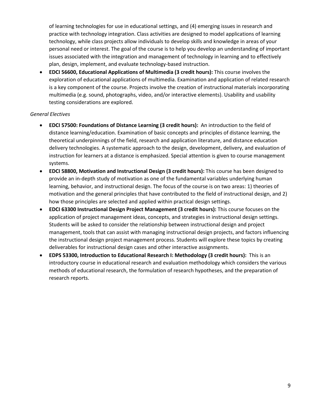of learning technologies for use in educational settings, and (4) emerging issues in research and practice with technology integration. Class activities are designed to model applications of learning technology, while class projects allow individuals to develop skills and knowledge in areas of your personal need or interest. The goal of the course is to help you develop an understanding of important issues associated with the integration and management of technology in learning and to effectively plan, design, implement, and evaluate technology-based instruction.

• **EDCI 56600, Educational Applications of Multimedia (3 credit hours):** This course involves the exploration of educational applications of multimedia. Examination and application of related research is a key component of the course. Projects involve the creation of instructional materials incorporating multimedia (e.g. sound, photographs, video, and/or interactive elements). Usability and usability testing considerations are explored.

# *General Electives*

- **EDCI 57500: Foundations of Distance Learning (3 credit hours):** An introduction to the field of distance learning/education. Examination of basic concepts and principles of distance learning, the theoretical underpinnings of the field, research and application literature, and distance education delivery technologies. A systematic approach to the design, development, delivery, and evaluation of instruction for learners at a distance is emphasized. Special attention is given to course management systems.
- **EDCI 58800, Motivation and Instructional Design (3 credit hours):** This course has been designed to provide an in-depth study of motivation as one of the fundamental variables underlying human learning, behavior, and instructional design. The focus of the course is on two areas: 1) theories of motivation and the general principles that have contributed to the field of instructional design, and 2) how those principles are selected and applied within practical design settings.
- **EDCI 63300 Instructional Design Project Management (3 credit hours):** This course focuses on the application of project management ideas, concepts, and strategies in instructional design settings. Students will be asked to consider the relationship between instructional design and project management, tools that can assist with managing instructional design projects, and factors influencing the instructional design project management process. Students will explore these topics by creating deliverables for instructional design cases and other interactive assignments.
- **EDPS 53300, Introduction to Educational Research I: Methodology (3 credit hours):** This is an introductory course in educational research and evaluation methodology which considers the various methods of educational research, the formulation of research hypotheses, and the preparation of research reports.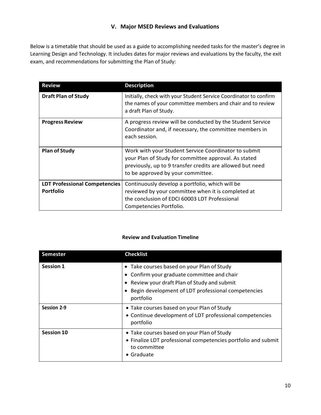# **V. Major MSED Reviews and Evaluations**

<span id="page-9-0"></span>Below is a timetable that should be used as a guide to accomplishing needed tasks for the master's degree in Learning Design and Technology. It includes dates for major reviews and evaluations by the faculty, the exit exam, and recommendations for submitting the Plan of Study:

| <b>Review</b>                                            | <b>Description</b>                                                                                                                                                                                             |
|----------------------------------------------------------|----------------------------------------------------------------------------------------------------------------------------------------------------------------------------------------------------------------|
| <b>Draft Plan of Study</b>                               | Initially, check with your Student Service Coordinator to confirm<br>the names of your committee members and chair and to review<br>a draft Plan of Study.                                                     |
| <b>Progress Review</b>                                   | A progress review will be conducted by the Student Service<br>Coordinator and, if necessary, the committee members in<br>each session.                                                                         |
| <b>Plan of Study</b>                                     | Work with your Student Service Coordinator to submit<br>your Plan of Study for committee approval. As stated<br>previously, up to 9 transfer credits are allowed but need<br>to be approved by your committee. |
| <b>LDT Professional Competencies</b><br><b>Portfolio</b> | Continuously develop a portfolio, which will be<br>reviewed by your committee when it is completed at<br>the conclusion of EDCI 60003 LDT Professional<br>Competencies Portfolio.                              |

# **Review and Evaluation Timeline**

| <b>Semester</b>    | <b>Checklist</b>                                                                                                                                                                                             |
|--------------------|--------------------------------------------------------------------------------------------------------------------------------------------------------------------------------------------------------------|
| <b>Session 1</b>   | • Take courses based on your Plan of Study<br>• Confirm your graduate committee and chair<br>• Review your draft Plan of Study and submit<br>Begin development of LDT professional competencies<br>portfolio |
| <b>Session 2-9</b> | • Take courses based on your Plan of Study<br>• Continue development of LDT professional competencies<br>portfolio                                                                                           |
| <b>Session 10</b>  | • Take courses based on your Plan of Study<br>• Finalize LDT professional competencies portfolio and submit<br>to committee<br>$\bullet$ Graduate                                                            |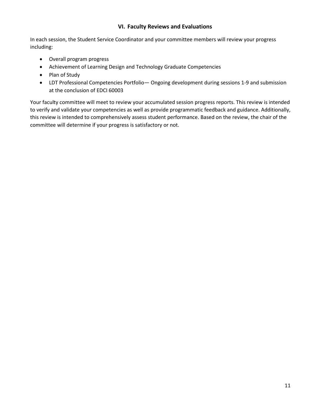# **VI. Faculty Reviews and Evaluations**

<span id="page-10-0"></span>In each session, the Student Service Coordinator and your committee members will review your progress including:

- Overall program progress
- Achievement of Learning Design and Technology Graduate Competencies
- Plan of Study
- LDT Professional Competencies Portfolio— Ongoing development during sessions 1-9 and submission at the conclusion of EDCI 60003

Your faculty committee will meet to review your accumulated session progress reports. This review is intended to verify and validate your competencies as well as provide programmatic feedback and guidance. Additionally, this review is intended to comprehensively assess student performance. Based on the review, the chair of the committee will determine if your progress is satisfactory or not.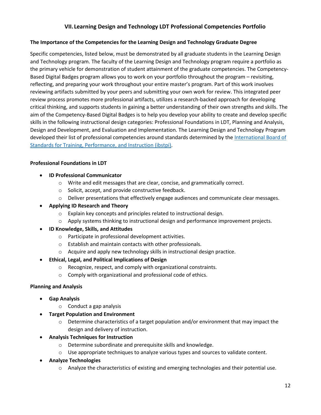# **VII.Learning Design and Technology LDT Professional Competencies Portfolio**

# <span id="page-11-0"></span>**The Importance of the Competencies for the Learning Design and Technology Graduate Degree**

Specific competencies, listed below, must be demonstrated by all graduate students in the Learning Design and Technology program. The faculty of the Learning Design and Technology program require a portfolio as the primary vehicle for demonstration of student attainment of the graduate competencies. The Competency-Based Digital Badges program allows you to work on your portfolio throughout the program – revisiting, reflecting, and preparing your work throughout your entire master's program. Part of this work involves reviewing artifacts submitted by your peers and submitting your own work for review. This integrated peer review process promotes more professional artifacts, utilizes a research-backed approach for developing critical thinking, and supports students in gaining a better understanding of their own strengths and skills. The aim of the Competency-Based Digital Badges is to help you develop your ability to create and develop specific skills in the following instructional design categories: Professional Foundations in LDT, Planning and Analysis, Design and Development, and Evaluation and Implementation. The Learning Design and Technology Program developed their list of professional competencies around standards determined by the International Board of [Standards for Training, Performance, and Instruction \(ibstpi\).](http://ibstpi.org/instructional-design-competencies/)

# **Professional Foundations in LDT**

- **ID Professional Communicator**
	- o Write and edit messages that are clear, concise, and grammatically correct.
	- o Solicit, accept, and provide constructive feedback.
	- $\circ$  Deliver presentations that effectively engage audiences and communicate clear messages.

# • **Applying ID Research and Theory**

- o Explain key concepts and principles related to instructional design.
- $\circ$  Apply systems thinking to instructional design and performance improvement projects.

# • **ID Knowledge, Skills, and Attitudes**

- o Participate in professional development activities.
- o Establish and maintain contacts with other professionals.
- $\circ$  Acquire and apply new technology skills in instructional design practice.

# • **Ethical, Legal, and Political Implications of Design**

- o Recognize, respect, and comply with organizational constraints.
- o Comply with organizational and professional code of ethics.

# **Planning and Analysis**

- **Gap Analysis**
	- o Conduct a gap analysis
- **Target Population and Environment**
	- o Determine characteristics of a target population and/or environment that may impact the design and delivery of instruction.
- **Analysis Techniques for Instruction**
	- o Determine subordinate and prerequisite skills and knowledge.
	- $\circ$  Use appropriate techniques to analyze various types and sources to validate content.
- **Analyze Technologies**
	- $\circ$  Analyze the characteristics of existing and emerging technologies and their potential use.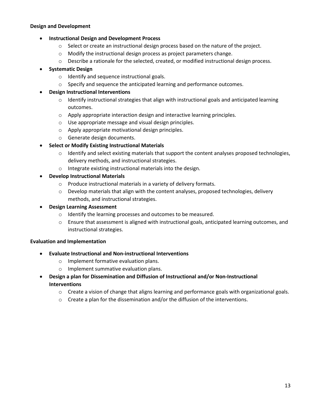# **Design and Development**

# • **Instructional Design and Development Process**

- o Select or create an instructional design process based on the nature of the project.
- o Modify the instructional design process as project parameters change.
- $\circ$  Describe a rationale for the selected, created, or modified instructional design process.

# • **Systematic Design**

- o Identify and sequence instructional goals.
- $\circ$  Specify and sequence the anticipated learning and performance outcomes.

# • **Design Instructional Interventions**

- $\circ$  Identify instructional strategies that align with instructional goals and anticipated learning outcomes.
- o Apply appropriate interaction design and interactive learning principles.
- o Use appropriate message and visual design principles.
- o Apply appropriate motivational design principles.
- o Generate design documents.

# • **Select or Modify Existing Instructional Materials**

- $\circ$  Identify and select existing materials that support the content analyses proposed technologies, delivery methods, and instructional strategies.
- o Integrate existing instructional materials into the design.

# • **Develop Instructional Materials**

- o Produce instructional materials in a variety of delivery formats.
- $\circ$  Develop materials that align with the content analyses, proposed technologies, delivery methods, and instructional strategies.
- **Design Learning Assessment** 
	- o Identify the learning processes and outcomes to be measured.
	- o Ensure that assessment is aligned with instructional goals, anticipated learning outcomes, and instructional strategies.

# **Evaluation and Implementation**

- **Evaluate Instructional and Non-instructional Interventions**
	- o Implement formative evaluation plans.
	- o Implement summative evaluation plans.
- **Design a plan for Dissemination and Diffusion of Instructional and/or Non-Instructional Interventions** 
	- $\circ$  Create a vision of change that aligns learning and performance goals with organizational goals.
	- o Create a plan for the dissemination and/or the diffusion of the interventions.